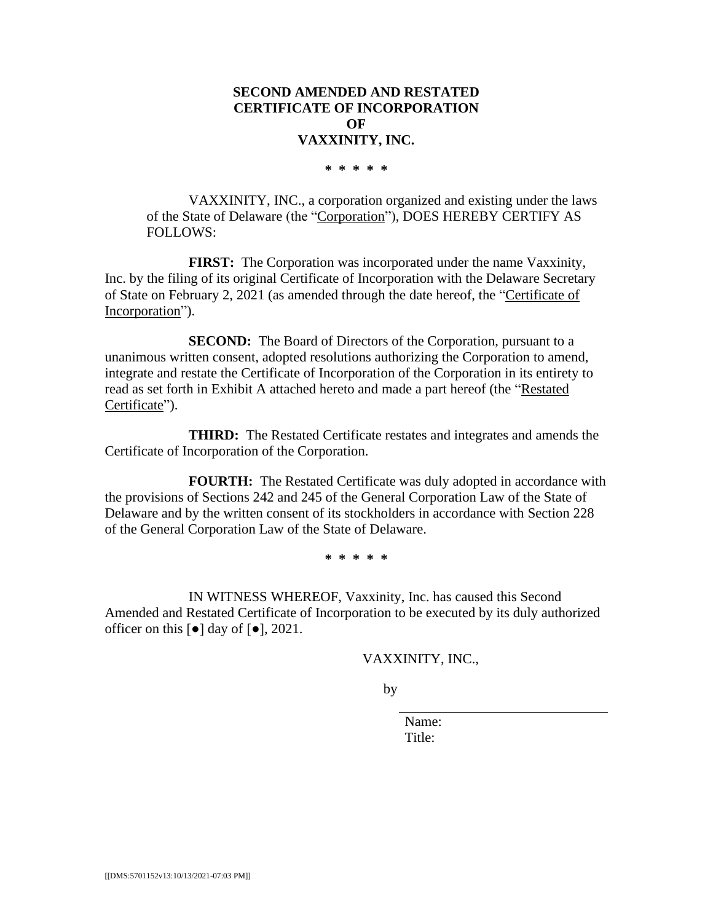# **SECOND AMENDED AND RESTATED CERTIFICATE OF INCORPORATION OF VAXXINITY, INC.**

**\* \* \* \* \***

VAXXINITY, INC., a corporation organized and existing under the laws of the State of Delaware (the "Corporation"), DOES HEREBY CERTIFY AS FOLLOWS:

**FIRST:** The Corporation was incorporated under the name Vaxxinity, Inc. by the filing of its original Certificate of Incorporation with the Delaware Secretary of State on February 2, 2021 (as amended through the date hereof, the "Certificate of Incorporation").

**SECOND:** The Board of Directors of the Corporation, pursuant to a unanimous written consent, adopted resolutions authorizing the Corporation to amend, integrate and restate the Certificate of Incorporation of the Corporation in its entirety to read as set forth in Exhibit A attached hereto and made a part hereof (the "Restated Certificate").

**THIRD:** The Restated Certificate restates and integrates and amends the Certificate of Incorporation of the Corporation.

**FOURTH:** The Restated Certificate was duly adopted in accordance with the provisions of Sections 242 and 245 of the General Corporation Law of the State of Delaware and by the written consent of its stockholders in accordance with Section 228 of the General Corporation Law of the State of Delaware.

**\* \* \* \* \***

IN WITNESS WHEREOF, Vaxxinity, Inc. has caused this Second Amended and Restated Certificate of Incorporation to be executed by its duly authorized officer on this  $\lceil \bullet \rceil$  day of  $\lceil \bullet \rceil$ , 2021.

VAXXINITY, INC.,

by

Name: Title: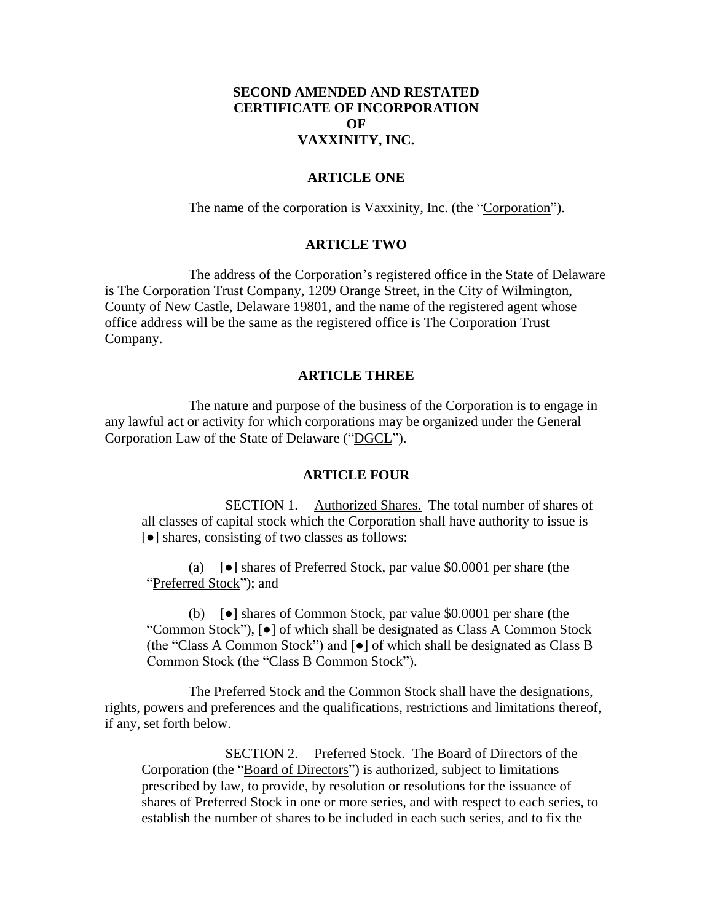# **SECOND AMENDED AND RESTATED CERTIFICATE OF INCORPORATION OF VAXXINITY, INC.**

# **ARTICLE ONE**

The name of the corporation is Vaxxinity, Inc. (the "Corporation").

# **ARTICLE TWO**

The address of the Corporation's registered office in the State of Delaware is The Corporation Trust Company, 1209 Orange Street, in the City of Wilmington, County of New Castle, Delaware 19801, and the name of the registered agent whose office address will be the same as the registered office is The Corporation Trust Company.

# **ARTICLE THREE**

The nature and purpose of the business of the Corporation is to engage in any lawful act or activity for which corporations may be organized under the General Corporation Law of the State of Delaware ("DGCL").

### **ARTICLE FOUR**

SECTION 1. Authorized Shares. The total number of shares of all classes of capital stock which the Corporation shall have authority to issue is [●] shares, consisting of two classes as follows:

(a) [●] shares of Preferred Stock, par value \$0.0001 per share (the "Preferred Stock"); and

(b) [●] shares of Common Stock, par value \$0.0001 per share (the "Common Stock"), [●] of which shall be designated as Class A Common Stock (the "Class A Common Stock") and  $[\bullet]$  of which shall be designated as Class B Common Stock (the "Class B Common Stock").

The Preferred Stock and the Common Stock shall have the designations, rights, powers and preferences and the qualifications, restrictions and limitations thereof, if any, set forth below.

SECTION 2. Preferred Stock. The Board of Directors of the Corporation (the "Board of Directors") is authorized, subject to limitations prescribed by law, to provide, by resolution or resolutions for the issuance of shares of Preferred Stock in one or more series, and with respect to each series, to establish the number of shares to be included in each such series, and to fix the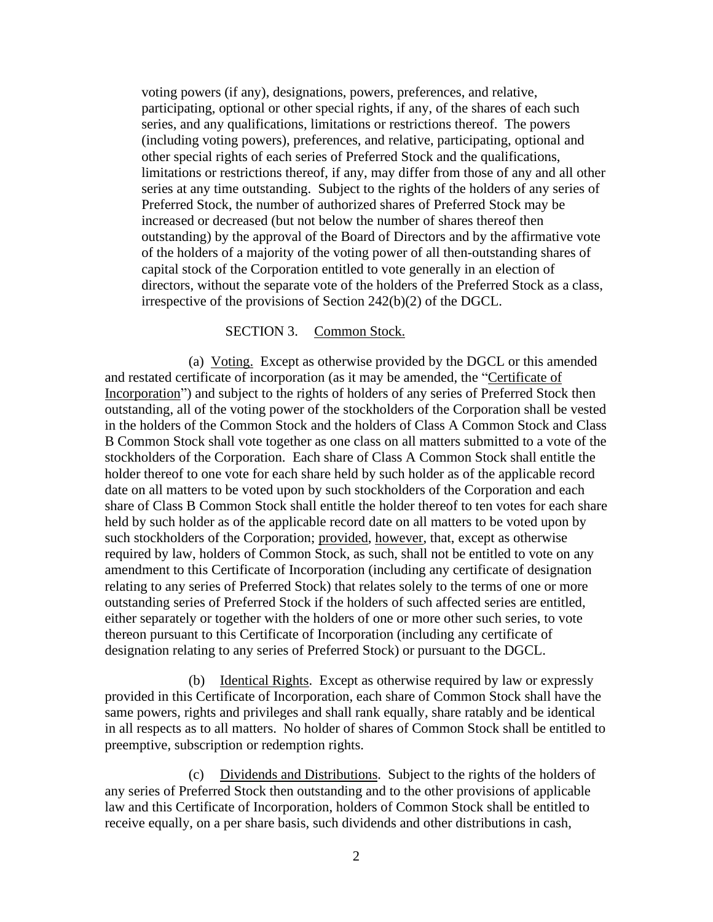voting powers (if any), designations, powers, preferences, and relative, participating, optional or other special rights, if any, of the shares of each such series, and any qualifications, limitations or restrictions thereof. The powers (including voting powers), preferences, and relative, participating, optional and other special rights of each series of Preferred Stock and the qualifications, limitations or restrictions thereof, if any, may differ from those of any and all other series at any time outstanding. Subject to the rights of the holders of any series of Preferred Stock, the number of authorized shares of Preferred Stock may be increased or decreased (but not below the number of shares thereof then outstanding) by the approval of the Board of Directors and by the affirmative vote of the holders of a majority of the voting power of all then-outstanding shares of capital stock of the Corporation entitled to vote generally in an election of directors, without the separate vote of the holders of the Preferred Stock as a class, irrespective of the provisions of Section 242(b)(2) of the DGCL.

### SECTION 3. Common Stock.

(a) Voting. Except as otherwise provided by the DGCL or this amended and restated certificate of incorporation (as it may be amended, the "Certificate of Incorporation") and subject to the rights of holders of any series of Preferred Stock then outstanding, all of the voting power of the stockholders of the Corporation shall be vested in the holders of the Common Stock and the holders of Class A Common Stock and Class B Common Stock shall vote together as one class on all matters submitted to a vote of the stockholders of the Corporation. Each share of Class A Common Stock shall entitle the holder thereof to one vote for each share held by such holder as of the applicable record date on all matters to be voted upon by such stockholders of the Corporation and each share of Class B Common Stock shall entitle the holder thereof to ten votes for each share held by such holder as of the applicable record date on all matters to be voted upon by such stockholders of the Corporation; provided, however, that, except as otherwise required by law, holders of Common Stock, as such, shall not be entitled to vote on any amendment to this Certificate of Incorporation (including any certificate of designation relating to any series of Preferred Stock) that relates solely to the terms of one or more outstanding series of Preferred Stock if the holders of such affected series are entitled, either separately or together with the holders of one or more other such series, to vote thereon pursuant to this Certificate of Incorporation (including any certificate of designation relating to any series of Preferred Stock) or pursuant to the DGCL.

(b) Identical Rights. Except as otherwise required by law or expressly provided in this Certificate of Incorporation, each share of Common Stock shall have the same powers, rights and privileges and shall rank equally, share ratably and be identical in all respects as to all matters. No holder of shares of Common Stock shall be entitled to preemptive, subscription or redemption rights.

(c) Dividends and Distributions. Subject to the rights of the holders of any series of Preferred Stock then outstanding and to the other provisions of applicable law and this Certificate of Incorporation, holders of Common Stock shall be entitled to receive equally, on a per share basis, such dividends and other distributions in cash,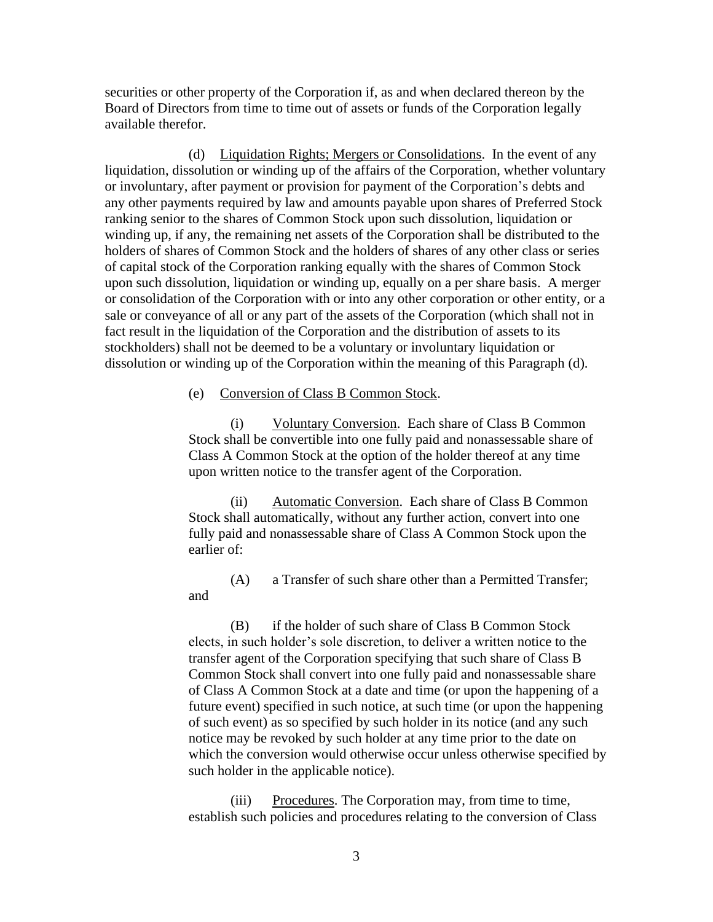securities or other property of the Corporation if, as and when declared thereon by the Board of Directors from time to time out of assets or funds of the Corporation legally available therefor.

(d) Liquidation Rights; Mergers or Consolidations. In the event of any liquidation, dissolution or winding up of the affairs of the Corporation, whether voluntary or involuntary, after payment or provision for payment of the Corporation's debts and any other payments required by law and amounts payable upon shares of Preferred Stock ranking senior to the shares of Common Stock upon such dissolution, liquidation or winding up, if any, the remaining net assets of the Corporation shall be distributed to the holders of shares of Common Stock and the holders of shares of any other class or series of capital stock of the Corporation ranking equally with the shares of Common Stock upon such dissolution, liquidation or winding up, equally on a per share basis. A merger or consolidation of the Corporation with or into any other corporation or other entity, or a sale or conveyance of all or any part of the assets of the Corporation (which shall not in fact result in the liquidation of the Corporation and the distribution of assets to its stockholders) shall not be deemed to be a voluntary or involuntary liquidation or dissolution or winding up of the Corporation within the meaning of this Paragraph (d).

# (e) Conversion of Class B Common Stock.

(i) Voluntary Conversion. Each share of Class B Common Stock shall be convertible into one fully paid and nonassessable share of Class A Common Stock at the option of the holder thereof at any time upon written notice to the transfer agent of the Corporation.

(ii) Automatic Conversion. Each share of Class B Common Stock shall automatically, without any further action, convert into one fully paid and nonassessable share of Class A Common Stock upon the earlier of:

(A) a Transfer of such share other than a Permitted Transfer; and

(B) if the holder of such share of Class B Common Stock elects, in such holder's sole discretion, to deliver a written notice to the transfer agent of the Corporation specifying that such share of Class B Common Stock shall convert into one fully paid and nonassessable share of Class A Common Stock at a date and time (or upon the happening of a future event) specified in such notice, at such time (or upon the happening of such event) as so specified by such holder in its notice (and any such notice may be revoked by such holder at any time prior to the date on which the conversion would otherwise occur unless otherwise specified by such holder in the applicable notice).

(iii) Procedures. The Corporation may, from time to time, establish such policies and procedures relating to the conversion of Class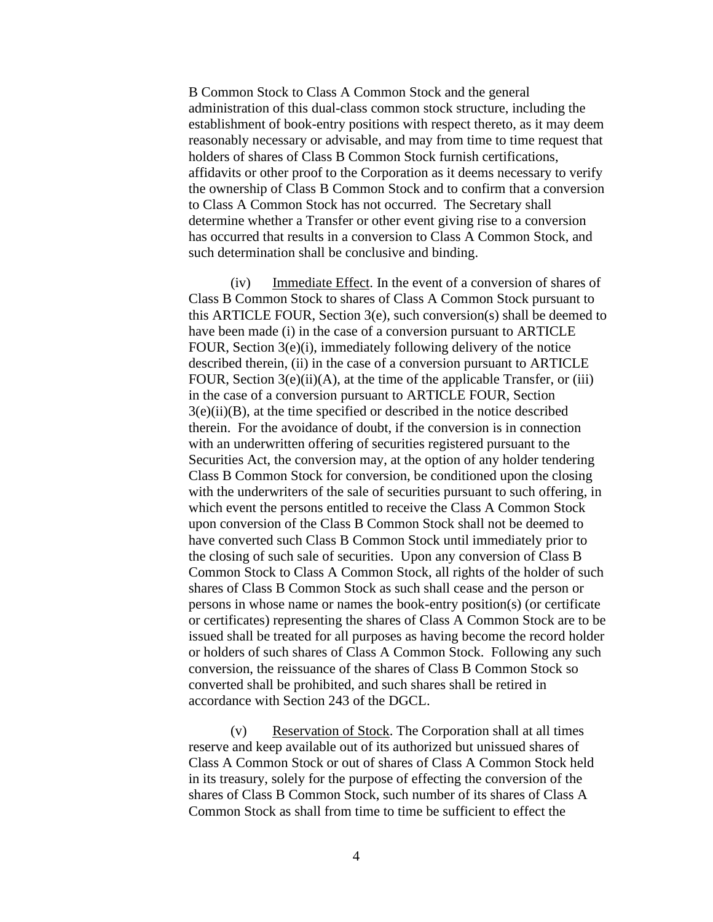B Common Stock to Class A Common Stock and the general administration of this dual-class common stock structure, including the establishment of book-entry positions with respect thereto, as it may deem reasonably necessary or advisable, and may from time to time request that holders of shares of Class B Common Stock furnish certifications, affidavits or other proof to the Corporation as it deems necessary to verify the ownership of Class B Common Stock and to confirm that a conversion to Class A Common Stock has not occurred. The Secretary shall determine whether a Transfer or other event giving rise to a conversion has occurred that results in a conversion to Class A Common Stock, and such determination shall be conclusive and binding.

(iv) Immediate Effect. In the event of a conversion of shares of Class B Common Stock to shares of Class A Common Stock pursuant to this ARTICLE FOUR, Section 3(e), such conversion(s) shall be deemed to have been made (i) in the case of a conversion pursuant to ARTICLE FOUR, Section 3(e)(i), immediately following delivery of the notice described therein, (ii) in the case of a conversion pursuant to ARTICLE FOUR, Section  $3(e)(ii)(A)$ , at the time of the applicable Transfer, or (iii) in the case of a conversion pursuant to ARTICLE FOUR, Section 3(e)(ii)(B), at the time specified or described in the notice described therein. For the avoidance of doubt, if the conversion is in connection with an underwritten offering of securities registered pursuant to the Securities Act, the conversion may, at the option of any holder tendering Class B Common Stock for conversion, be conditioned upon the closing with the underwriters of the sale of securities pursuant to such offering, in which event the persons entitled to receive the Class A Common Stock upon conversion of the Class B Common Stock shall not be deemed to have converted such Class B Common Stock until immediately prior to the closing of such sale of securities. Upon any conversion of Class B Common Stock to Class A Common Stock, all rights of the holder of such shares of Class B Common Stock as such shall cease and the person or persons in whose name or names the book-entry position(s) (or certificate or certificates) representing the shares of Class A Common Stock are to be issued shall be treated for all purposes as having become the record holder or holders of such shares of Class A Common Stock. Following any such conversion, the reissuance of the shares of Class B Common Stock so converted shall be prohibited, and such shares shall be retired in accordance with Section 243 of the DGCL.

(v) Reservation of Stock. The Corporation shall at all times reserve and keep available out of its authorized but unissued shares of Class A Common Stock or out of shares of Class A Common Stock held in its treasury, solely for the purpose of effecting the conversion of the shares of Class B Common Stock, such number of its shares of Class A Common Stock as shall from time to time be sufficient to effect the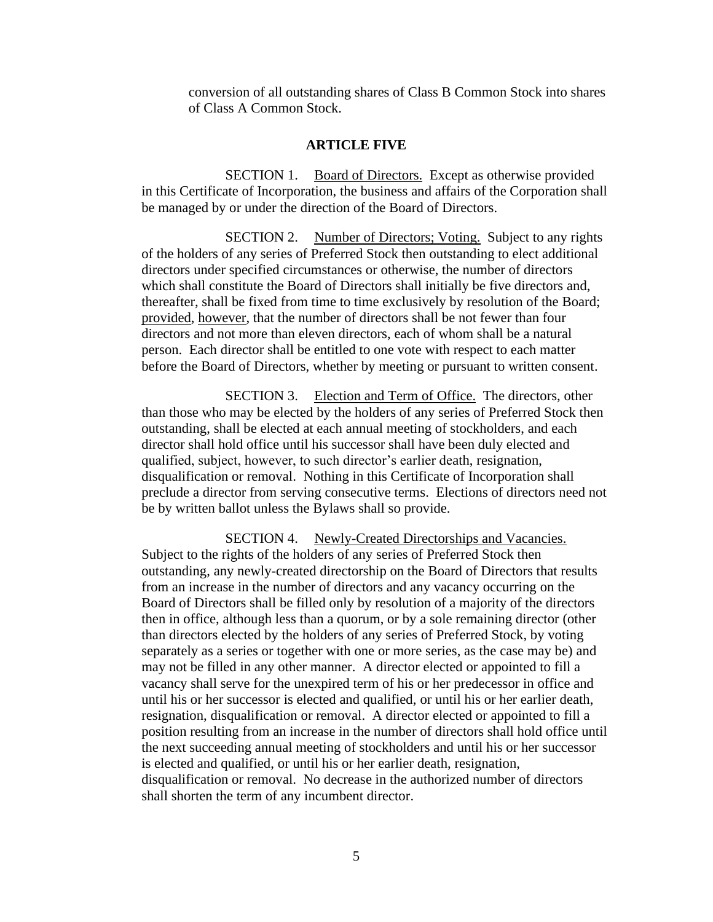conversion of all outstanding shares of Class B Common Stock into shares of Class A Common Stock.

# **ARTICLE FIVE**

SECTION 1. Board of Directors. Except as otherwise provided in this Certificate of Incorporation, the business and affairs of the Corporation shall be managed by or under the direction of the Board of Directors.

SECTION 2. Number of Directors; Voting. Subject to any rights of the holders of any series of Preferred Stock then outstanding to elect additional directors under specified circumstances or otherwise, the number of directors which shall constitute the Board of Directors shall initially be five directors and, thereafter, shall be fixed from time to time exclusively by resolution of the Board; provided, however, that the number of directors shall be not fewer than four directors and not more than eleven directors, each of whom shall be a natural person. Each director shall be entitled to one vote with respect to each matter before the Board of Directors, whether by meeting or pursuant to written consent.

SECTION 3. Election and Term of Office. The directors, other than those who may be elected by the holders of any series of Preferred Stock then outstanding, shall be elected at each annual meeting of stockholders, and each director shall hold office until his successor shall have been duly elected and qualified, subject, however, to such director's earlier death, resignation, disqualification or removal. Nothing in this Certificate of Incorporation shall preclude a director from serving consecutive terms. Elections of directors need not be by written ballot unless the Bylaws shall so provide.

SECTION 4. Newly-Created Directorships and Vacancies. Subject to the rights of the holders of any series of Preferred Stock then outstanding, any newly-created directorship on the Board of Directors that results from an increase in the number of directors and any vacancy occurring on the Board of Directors shall be filled only by resolution of a majority of the directors then in office, although less than a quorum, or by a sole remaining director (other than directors elected by the holders of any series of Preferred Stock, by voting separately as a series or together with one or more series, as the case may be) and may not be filled in any other manner. A director elected or appointed to fill a vacancy shall serve for the unexpired term of his or her predecessor in office and until his or her successor is elected and qualified, or until his or her earlier death, resignation, disqualification or removal. A director elected or appointed to fill a position resulting from an increase in the number of directors shall hold office until the next succeeding annual meeting of stockholders and until his or her successor is elected and qualified, or until his or her earlier death, resignation, disqualification or removal. No decrease in the authorized number of directors shall shorten the term of any incumbent director.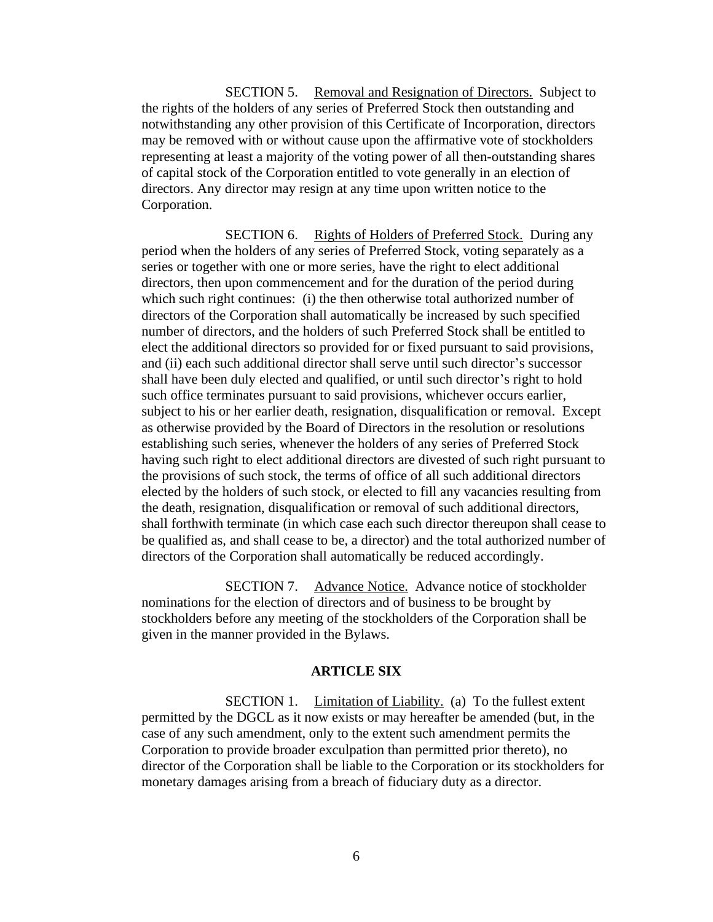SECTION 5. Removal and Resignation of Directors. Subject to the rights of the holders of any series of Preferred Stock then outstanding and notwithstanding any other provision of this Certificate of Incorporation, directors may be removed with or without cause upon the affirmative vote of stockholders representing at least a majority of the voting power of all then-outstanding shares of capital stock of the Corporation entitled to vote generally in an election of directors. Any director may resign at any time upon written notice to the Corporation.

SECTION 6. Rights of Holders of Preferred Stock. During any period when the holders of any series of Preferred Stock, voting separately as a series or together with one or more series, have the right to elect additional directors, then upon commencement and for the duration of the period during which such right continues: (i) the then otherwise total authorized number of directors of the Corporation shall automatically be increased by such specified number of directors, and the holders of such Preferred Stock shall be entitled to elect the additional directors so provided for or fixed pursuant to said provisions, and (ii) each such additional director shall serve until such director's successor shall have been duly elected and qualified, or until such director's right to hold such office terminates pursuant to said provisions, whichever occurs earlier, subject to his or her earlier death, resignation, disqualification or removal. Except as otherwise provided by the Board of Directors in the resolution or resolutions establishing such series, whenever the holders of any series of Preferred Stock having such right to elect additional directors are divested of such right pursuant to the provisions of such stock, the terms of office of all such additional directors elected by the holders of such stock, or elected to fill any vacancies resulting from the death, resignation, disqualification or removal of such additional directors, shall forthwith terminate (in which case each such director thereupon shall cease to be qualified as, and shall cease to be, a director) and the total authorized number of directors of the Corporation shall automatically be reduced accordingly.

SECTION 7. Advance Notice. Advance notice of stockholder nominations for the election of directors and of business to be brought by stockholders before any meeting of the stockholders of the Corporation shall be given in the manner provided in the Bylaws.

# **ARTICLE SIX**

SECTION 1. Limitation of Liability. (a) To the fullest extent permitted by the DGCL as it now exists or may hereafter be amended (but, in the case of any such amendment, only to the extent such amendment permits the Corporation to provide broader exculpation than permitted prior thereto), no director of the Corporation shall be liable to the Corporation or its stockholders for monetary damages arising from a breach of fiduciary duty as a director.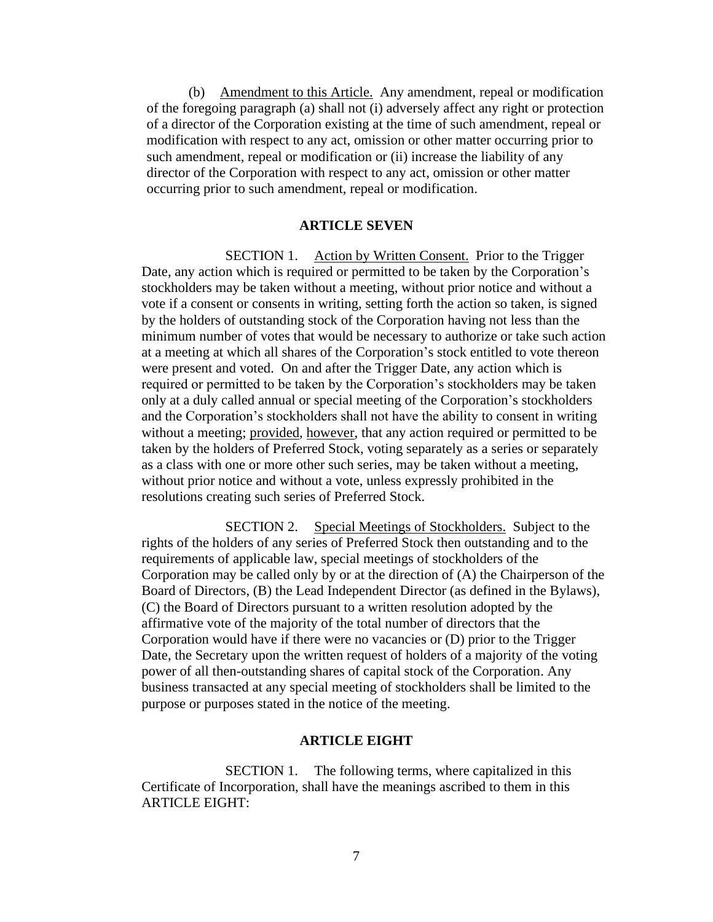(b) Amendment to this Article. Any amendment, repeal or modification of the foregoing paragraph (a) shall not (i) adversely affect any right or protection of a director of the Corporation existing at the time of such amendment, repeal or modification with respect to any act, omission or other matter occurring prior to such amendment, repeal or modification or (ii) increase the liability of any director of the Corporation with respect to any act, omission or other matter occurring prior to such amendment, repeal or modification.

# **ARTICLE SEVEN**

SECTION 1. Action by Written Consent. Prior to the Trigger Date, any action which is required or permitted to be taken by the Corporation's stockholders may be taken without a meeting, without prior notice and without a vote if a consent or consents in writing, setting forth the action so taken, is signed by the holders of outstanding stock of the Corporation having not less than the minimum number of votes that would be necessary to authorize or take such action at a meeting at which all shares of the Corporation's stock entitled to vote thereon were present and voted. On and after the Trigger Date, any action which is required or permitted to be taken by the Corporation's stockholders may be taken only at a duly called annual or special meeting of the Corporation's stockholders and the Corporation's stockholders shall not have the ability to consent in writing without a meeting; provided, however, that any action required or permitted to be taken by the holders of Preferred Stock, voting separately as a series or separately as a class with one or more other such series, may be taken without a meeting, without prior notice and without a vote, unless expressly prohibited in the resolutions creating such series of Preferred Stock.

SECTION 2. Special Meetings of Stockholders. Subject to the rights of the holders of any series of Preferred Stock then outstanding and to the requirements of applicable law, special meetings of stockholders of the Corporation may be called only by or at the direction of (A) the Chairperson of the Board of Directors, (B) the Lead Independent Director (as defined in the Bylaws), (C) the Board of Directors pursuant to a written resolution adopted by the affirmative vote of the majority of the total number of directors that the Corporation would have if there were no vacancies or (D) prior to the Trigger Date, the Secretary upon the written request of holders of a majority of the voting power of all then-outstanding shares of capital stock of the Corporation. Any business transacted at any special meeting of stockholders shall be limited to the purpose or purposes stated in the notice of the meeting.

# **ARTICLE EIGHT**

SECTION 1. The following terms, where capitalized in this Certificate of Incorporation, shall have the meanings ascribed to them in this ARTICLE EIGHT: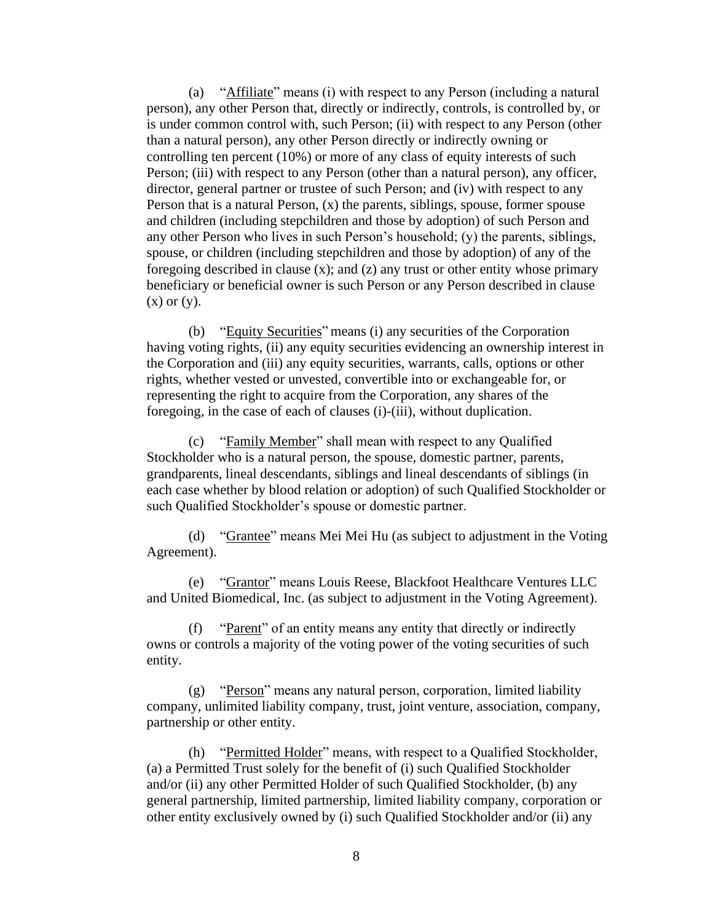(a) "Affiliate" means (i) with respect to any Person (including a natural person), any other Person that, directly or indirectly, controls, is controlled by, or is under common control with, such Person; (ii) with respect to any Person (other than a natural person), any other Person directly or indirectly owning or controlling ten percent (10%) or more of any class of equity interests of such Person; (iii) with respect to any Person (other than a natural person), any officer, director, general partner or trustee of such Person; and (iv) with respect to any Person that is a natural Person, (x) the parents, siblings, spouse, former spouse and children (including stepchildren and those by adoption) of such Person and any other Person who lives in such Person's household; (y) the parents, siblings, spouse, or children (including stepchildren and those by adoption) of any of the foregoing described in clause (x); and (z) any trust or other entity whose primary beneficiary or beneficial owner is such Person or any Person described in clause  $(x)$  or  $(y)$ .

(b) "Equity Securities" means (i) any securities of the Corporation having voting rights, (ii) any equity securities evidencing an ownership interest in the Corporation and (iii) any equity securities, warrants, calls, options or other rights, whether vested or unvested, convertible into or exchangeable for, or representing the right to acquire from the Corporation, any shares of the foregoing, in the case of each of clauses (i)-(iii), without duplication.

(c) "Family Member" shall mean with respect to any Qualified Stockholder who is a natural person, the spouse, domestic partner, parents, grandparents, lineal descendants, siblings and lineal descendants of siblings (in each case whether by blood relation or adoption) of such Qualified Stockholder or such Qualified Stockholder's spouse or domestic partner.

(d) "Grantee" means Mei Mei Hu (as subject to adjustment in the Voting Agreement).

(e) "Grantor" means Louis Reese, Blackfoot Healthcare Ventures LLC and United Biomedical, Inc. (as subject to adjustment in the Voting Agreement).

(f) "Parent" of an entity means any entity that directly or indirectly owns or controls a majority of the voting power of the voting securities of such entity.

(g) "Person" means any natural person, corporation, limited liability company, unlimited liability company, trust, joint venture, association, company, partnership or other entity.

(h) "Permitted Holder" means, with respect to a Qualified Stockholder, (a) a Permitted Trust solely for the benefit of (i) such Qualified Stockholder and/or (ii) any other Permitted Holder of such Qualified Stockholder, (b) any general partnership, limited partnership, limited liability company, corporation or other entity exclusively owned by (i) such Qualified Stockholder and/or (ii) any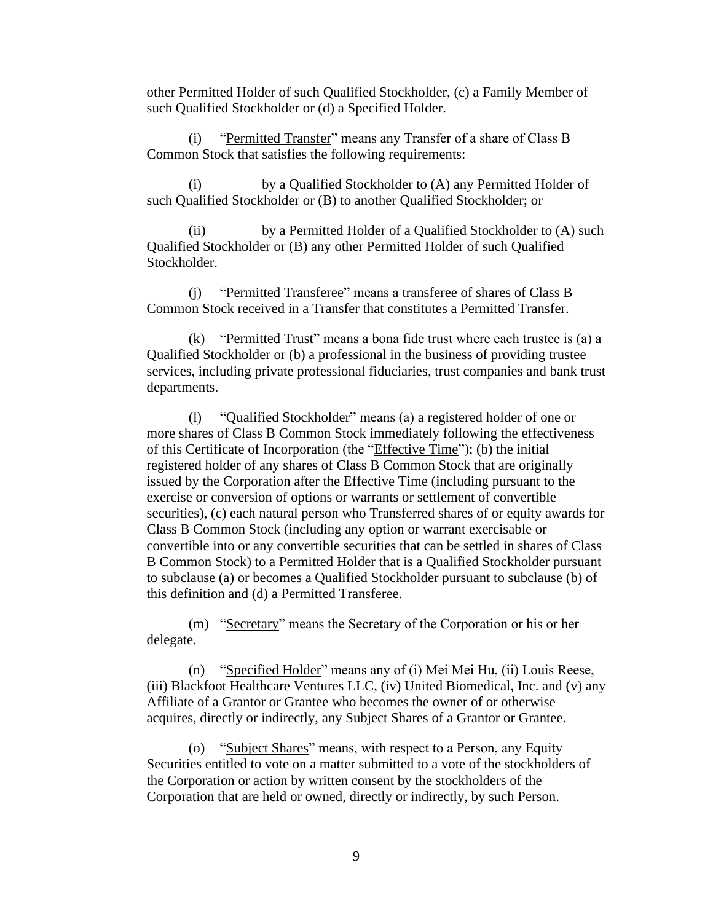other Permitted Holder of such Qualified Stockholder, (c) a Family Member of such Qualified Stockholder or (d) a Specified Holder.

(i) "Permitted Transfer" means any Transfer of a share of Class B Common Stock that satisfies the following requirements:

(i) by a Qualified Stockholder to (A) any Permitted Holder of such Qualified Stockholder or (B) to another Qualified Stockholder; or

(ii) by a Permitted Holder of a Qualified Stockholder to (A) such Qualified Stockholder or (B) any other Permitted Holder of such Qualified Stockholder.

(j) "Permitted Transferee" means a transferee of shares of Class B Common Stock received in a Transfer that constitutes a Permitted Transfer.

(k) "Permitted Trust" means a bona fide trust where each trustee is (a) a Qualified Stockholder or (b) a professional in the business of providing trustee services, including private professional fiduciaries, trust companies and bank trust departments.

(l) "Qualified Stockholder" means (a) a registered holder of one or more shares of Class B Common Stock immediately following the effectiveness of this Certificate of Incorporation (the "Effective Time"); (b) the initial registered holder of any shares of Class B Common Stock that are originally issued by the Corporation after the Effective Time (including pursuant to the exercise or conversion of options or warrants or settlement of convertible securities), (c) each natural person who Transferred shares of or equity awards for Class B Common Stock (including any option or warrant exercisable or convertible into or any convertible securities that can be settled in shares of Class B Common Stock) to a Permitted Holder that is a Qualified Stockholder pursuant to subclause (a) or becomes a Qualified Stockholder pursuant to subclause (b) of this definition and (d) a Permitted Transferee.

(m) "Secretary" means the Secretary of the Corporation or his or her delegate.

(n) "Specified Holder" means any of (i) Mei Mei Hu, (ii) Louis Reese, (iii) Blackfoot Healthcare Ventures LLC, (iv) United Biomedical, Inc. and (v) any Affiliate of a Grantor or Grantee who becomes the owner of or otherwise acquires, directly or indirectly, any Subject Shares of a Grantor or Grantee.

(o) "Subject Shares" means, with respect to a Person, any Equity Securities entitled to vote on a matter submitted to a vote of the stockholders of the Corporation or action by written consent by the stockholders of the Corporation that are held or owned, directly or indirectly, by such Person.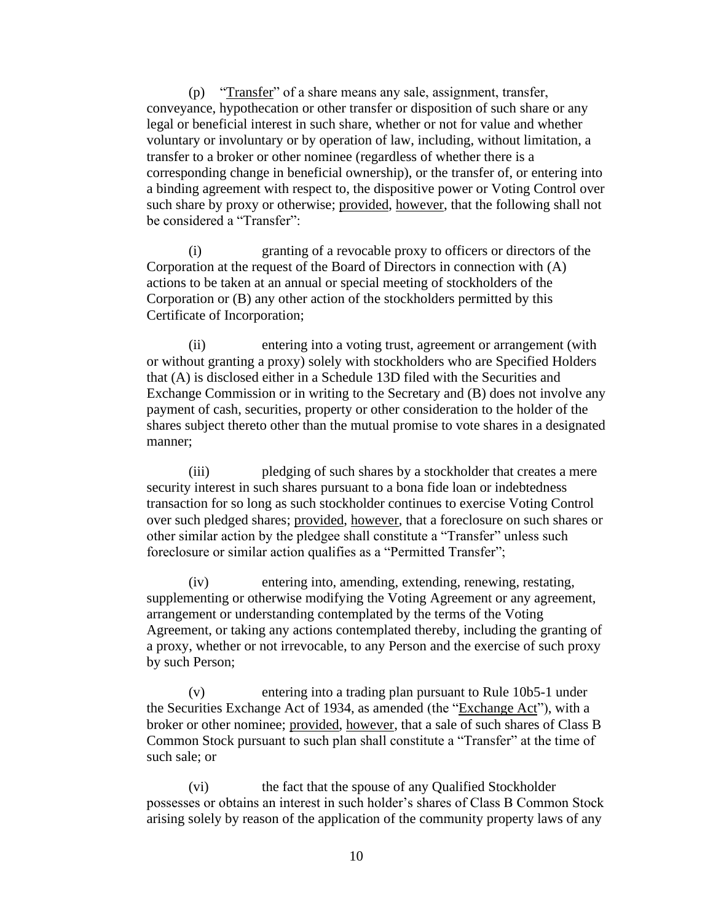(p) "Transfer" of a share means any sale, assignment, transfer, conveyance, hypothecation or other transfer or disposition of such share or any legal or beneficial interest in such share, whether or not for value and whether voluntary or involuntary or by operation of law, including, without limitation, a transfer to a broker or other nominee (regardless of whether there is a corresponding change in beneficial ownership), or the transfer of, or entering into a binding agreement with respect to, the dispositive power or Voting Control over such share by proxy or otherwise; provided, however, that the following shall not be considered a "Transfer":

(i) granting of a revocable proxy to officers or directors of the Corporation at the request of the Board of Directors in connection with (A) actions to be taken at an annual or special meeting of stockholders of the Corporation or (B) any other action of the stockholders permitted by this Certificate of Incorporation;

(ii) entering into a voting trust, agreement or arrangement (with or without granting a proxy) solely with stockholders who are Specified Holders that (A) is disclosed either in a Schedule 13D filed with the Securities and Exchange Commission or in writing to the Secretary and (B) does not involve any payment of cash, securities, property or other consideration to the holder of the shares subject thereto other than the mutual promise to vote shares in a designated manner;

(iii) pledging of such shares by a stockholder that creates a mere security interest in such shares pursuant to a bona fide loan or indebtedness transaction for so long as such stockholder continues to exercise Voting Control over such pledged shares; provided, however, that a foreclosure on such shares or other similar action by the pledgee shall constitute a "Transfer" unless such foreclosure or similar action qualifies as a "Permitted Transfer";

(iv) entering into, amending, extending, renewing, restating, supplementing or otherwise modifying the Voting Agreement or any agreement, arrangement or understanding contemplated by the terms of the Voting Agreement, or taking any actions contemplated thereby, including the granting of a proxy, whether or not irrevocable, to any Person and the exercise of such proxy by such Person;

(v) entering into a trading plan pursuant to Rule 10b5-1 under the Securities Exchange Act of 1934, as amended (the "Exchange Act"), with a broker or other nominee; provided, however, that a sale of such shares of Class B Common Stock pursuant to such plan shall constitute a "Transfer" at the time of such sale; or

(vi) the fact that the spouse of any Qualified Stockholder possesses or obtains an interest in such holder's shares of Class B Common Stock arising solely by reason of the application of the community property laws of any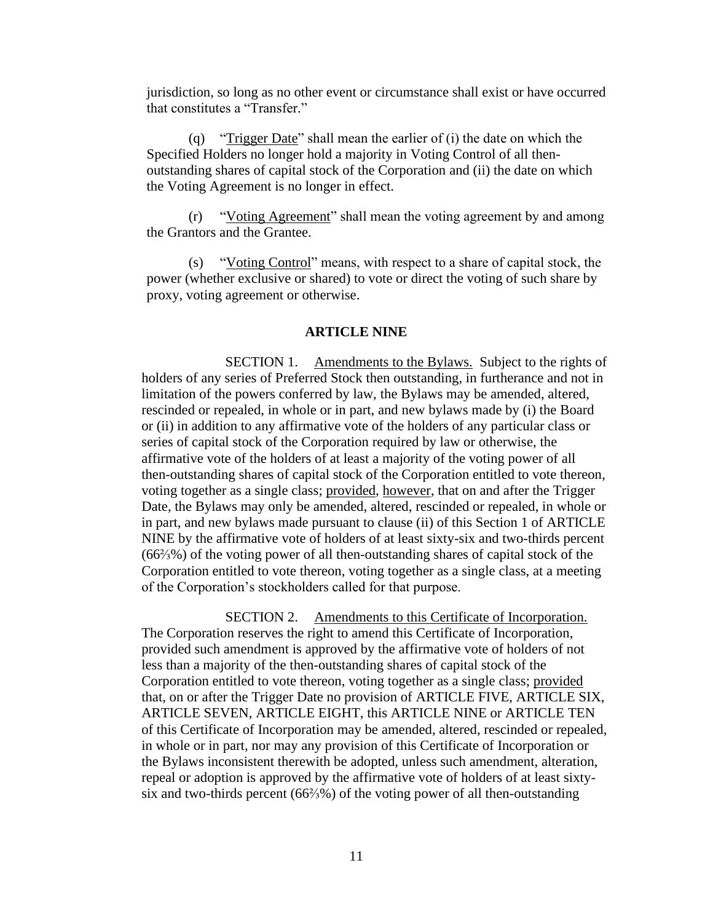jurisdiction, so long as no other event or circumstance shall exist or have occurred that constitutes a "Transfer."

(q) "Trigger Date" shall mean the earlier of (i) the date on which the Specified Holders no longer hold a majority in Voting Control of all thenoutstanding shares of capital stock of the Corporation and (ii) the date on which the Voting Agreement is no longer in effect.

(r) "Voting Agreement" shall mean the voting agreement by and among the Grantors and the Grantee.

(s) "Voting Control" means, with respect to a share of capital stock, the power (whether exclusive or shared) to vote or direct the voting of such share by proxy, voting agreement or otherwise.

#### **ARTICLE NINE**

SECTION 1. Amendments to the Bylaws. Subject to the rights of holders of any series of Preferred Stock then outstanding, in furtherance and not in limitation of the powers conferred by law, the Bylaws may be amended, altered, rescinded or repealed, in whole or in part, and new bylaws made by (i) the Board or (ii) in addition to any affirmative vote of the holders of any particular class or series of capital stock of the Corporation required by law or otherwise, the affirmative vote of the holders of at least a majority of the voting power of all then-outstanding shares of capital stock of the Corporation entitled to vote thereon, voting together as a single class; provided, however, that on and after the Trigger Date, the Bylaws may only be amended, altered, rescinded or repealed, in whole or in part, and new bylaws made pursuant to clause (ii) of this Section 1 of ARTICLE NINE by the affirmative vote of holders of at least sixty-six and two-thirds percent (66⅔%) of the voting power of all then-outstanding shares of capital stock of the Corporation entitled to vote thereon, voting together as a single class, at a meeting of the Corporation's stockholders called for that purpose.

SECTION 2. Amendments to this Certificate of Incorporation. The Corporation reserves the right to amend this Certificate of Incorporation, provided such amendment is approved by the affirmative vote of holders of not less than a majority of the then-outstanding shares of capital stock of the Corporation entitled to vote thereon, voting together as a single class; provided that, on or after the Trigger Date no provision of ARTICLE FIVE, ARTICLE SIX, ARTICLE SEVEN, ARTICLE EIGHT, this ARTICLE NINE or ARTICLE TEN of this Certificate of Incorporation may be amended, altered, rescinded or repealed, in whole or in part, nor may any provision of this Certificate of Incorporation or the Bylaws inconsistent therewith be adopted, unless such amendment, alteration, repeal or adoption is approved by the affirmative vote of holders of at least sixtysix and two-thirds percent (66⅔%) of the voting power of all then-outstanding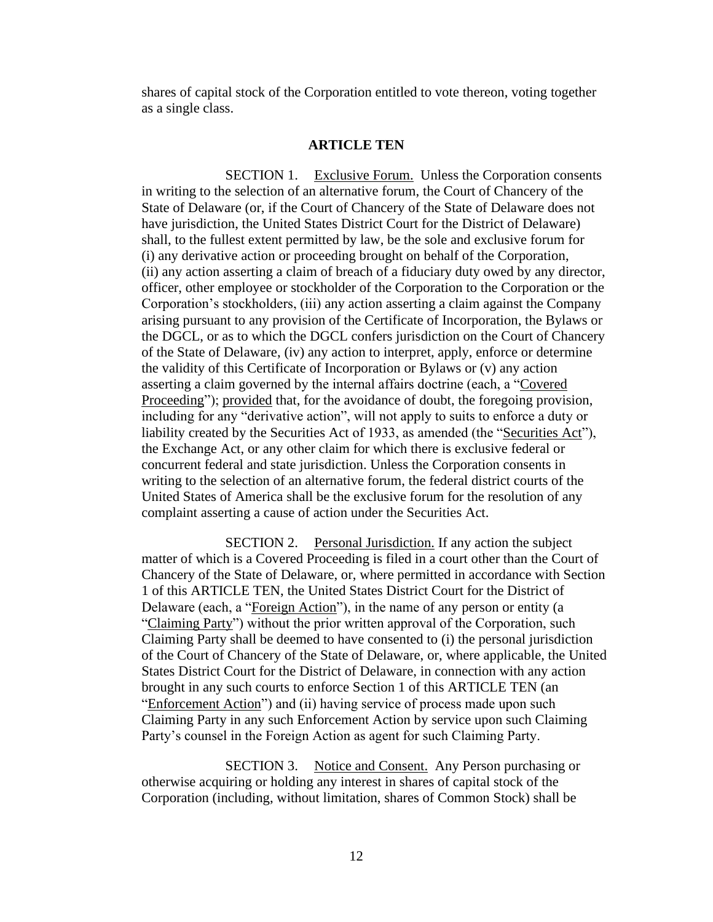shares of capital stock of the Corporation entitled to vote thereon, voting together as a single class.

#### **ARTICLE TEN**

SECTION 1. Exclusive Forum. Unless the Corporation consents in writing to the selection of an alternative forum, the Court of Chancery of the State of Delaware (or, if the Court of Chancery of the State of Delaware does not have jurisdiction, the United States District Court for the District of Delaware) shall, to the fullest extent permitted by law, be the sole and exclusive forum for (i) any derivative action or proceeding brought on behalf of the Corporation, (ii) any action asserting a claim of breach of a fiduciary duty owed by any director, officer, other employee or stockholder of the Corporation to the Corporation or the Corporation's stockholders, (iii) any action asserting a claim against the Company arising pursuant to any provision of the Certificate of Incorporation, the Bylaws or the DGCL, or as to which the DGCL confers jurisdiction on the Court of Chancery of the State of Delaware, (iv) any action to interpret, apply, enforce or determine the validity of this Certificate of Incorporation or Bylaws or (v) any action asserting a claim governed by the internal affairs doctrine (each, a "Covered Proceeding"); provided that, for the avoidance of doubt, the foregoing provision, including for any "derivative action", will not apply to suits to enforce a duty or liability created by the Securities Act of 1933, as amended (the "Securities Act"), the Exchange Act, or any other claim for which there is exclusive federal or concurrent federal and state jurisdiction. Unless the Corporation consents in writing to the selection of an alternative forum, the federal district courts of the United States of America shall be the exclusive forum for the resolution of any complaint asserting a cause of action under the Securities Act.

SECTION 2. Personal Jurisdiction. If any action the subject matter of which is a Covered Proceeding is filed in a court other than the Court of Chancery of the State of Delaware, or, where permitted in accordance with Section 1 of this ARTICLE TEN, the United States District Court for the District of Delaware (each, a "Foreign Action"), in the name of any person or entity (a "Claiming Party") without the prior written approval of the Corporation, such Claiming Party shall be deemed to have consented to (i) the personal jurisdiction of the Court of Chancery of the State of Delaware, or, where applicable, the United States District Court for the District of Delaware, in connection with any action brought in any such courts to enforce Section 1 of this ARTICLE TEN (an "Enforcement Action") and (ii) having service of process made upon such Claiming Party in any such Enforcement Action by service upon such Claiming Party's counsel in the Foreign Action as agent for such Claiming Party.

SECTION 3. Notice and Consent. Any Person purchasing or otherwise acquiring or holding any interest in shares of capital stock of the Corporation (including, without limitation, shares of Common Stock) shall be